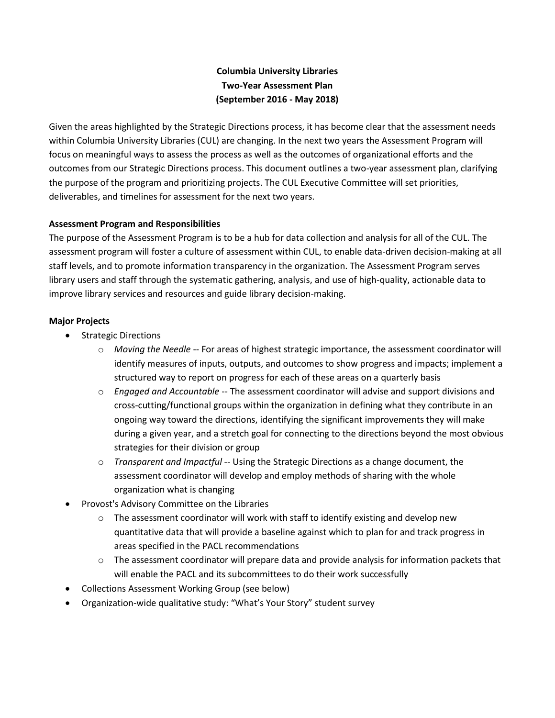# **Columbia University Libraries Two-Year Assessment Plan (September 2016 - May 2018)**

Given the areas highlighted by the Strategic Directions process, it has become clear that the assessment needs within Columbia University Libraries (CUL) are changing. In the next two years the Assessment Program will focus on meaningful ways to assess the process as well as the outcomes of organizational efforts and the outcomes from our Strategic Directions process. This document outlines a two-year assessment plan, clarifying the purpose of the program and prioritizing projects. The CUL Executive Committee will set priorities, deliverables, and timelines for assessment for the next two years.

# **Assessment Program and Responsibilities**

The purpose of the Assessment Program is to be a hub for data collection and analysis for all of the CUL. The assessment program will foster a culture of assessment within CUL, to enable data-driven decision-making at all staff levels, and to promote information transparency in the organization. The Assessment Program serves library users and staff through the systematic gathering, analysis, and use of high-quality, actionable data to improve library services and resources and guide library decision-making.

### **Major Projects**

- Strategic Directions
	- o *Moving the Needle* -- For areas of highest strategic importance, the assessment coordinator will identify measures of inputs, outputs, and outcomes to show progress and impacts; implement a structured way to report on progress for each of these areas on a quarterly basis
	- o *Engaged and Accountable* -- The assessment coordinator will advise and support divisions and cross-cutting/functional groups within the organization in defining what they contribute in an ongoing way toward the directions, identifying the significant improvements they will make during a given year, and a stretch goal for connecting to the directions beyond the most obvious strategies for their division or group
	- o *Transparent and Impactful* -- Using the Strategic Directions as a change document, the assessment coordinator will develop and employ methods of sharing with the whole organization what is changing
- Provost's Advisory Committee on the Libraries
	- $\circ$  The assessment coordinator will work with staff to identify existing and develop new quantitative data that will provide a baseline against which to plan for and track progress in areas specified in the PACL recommendations
	- $\circ$  The assessment coordinator will prepare data and provide analysis for information packets that will enable the PACL and its subcommittees to do their work successfully
- Collections Assessment Working Group (see below)
- Organization-wide qualitative study: "What's Your Story" student survey